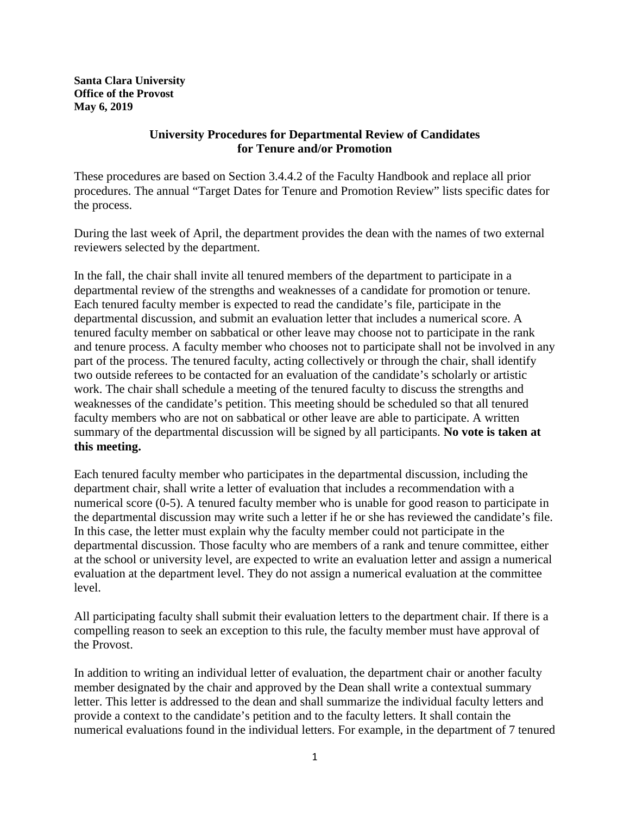**Santa Clara University Office of the Provost May 6, 2019**

## **University Procedures for Departmental Review of Candidates for Tenure and/or Promotion**

These procedures are based on Section 3.4.4.2 of the Faculty Handbook and replace all prior procedures. The annual "Target Dates for Tenure and Promotion Review" lists specific dates for the process.

During the last week of April, the department provides the dean with the names of two external reviewers selected by the department.

In the fall, the chair shall invite all tenured members of the department to participate in a departmental review of the strengths and weaknesses of a candidate for promotion or tenure. Each tenured faculty member is expected to read the candidate's file, participate in the departmental discussion, and submit an evaluation letter that includes a numerical score. A tenured faculty member on sabbatical or other leave may choose not to participate in the rank and tenure process. A faculty member who chooses not to participate shall not be involved in any part of the process. The tenured faculty, acting collectively or through the chair, shall identify two outside referees to be contacted for an evaluation of the candidate's scholarly or artistic work. The chair shall schedule a meeting of the tenured faculty to discuss the strengths and weaknesses of the candidate's petition. This meeting should be scheduled so that all tenured faculty members who are not on sabbatical or other leave are able to participate. A written summary of the departmental discussion will be signed by all participants. **No vote is taken at this meeting.**

Each tenured faculty member who participates in the departmental discussion, including the department chair, shall write a letter of evaluation that includes a recommendation with a numerical score (0-5). A tenured faculty member who is unable for good reason to participate in the departmental discussion may write such a letter if he or she has reviewed the candidate's file. In this case, the letter must explain why the faculty member could not participate in the departmental discussion. Those faculty who are members of a rank and tenure committee, either at the school or university level, are expected to write an evaluation letter and assign a numerical evaluation at the department level. They do not assign a numerical evaluation at the committee level.

All participating faculty shall submit their evaluation letters to the department chair. If there is a compelling reason to seek an exception to this rule, the faculty member must have approval of the Provost.

In addition to writing an individual letter of evaluation, the department chair or another faculty member designated by the chair and approved by the Dean shall write a contextual summary letter. This letter is addressed to the dean and shall summarize the individual faculty letters and provide a context to the candidate's petition and to the faculty letters. It shall contain the numerical evaluations found in the individual letters. For example, in the department of 7 tenured